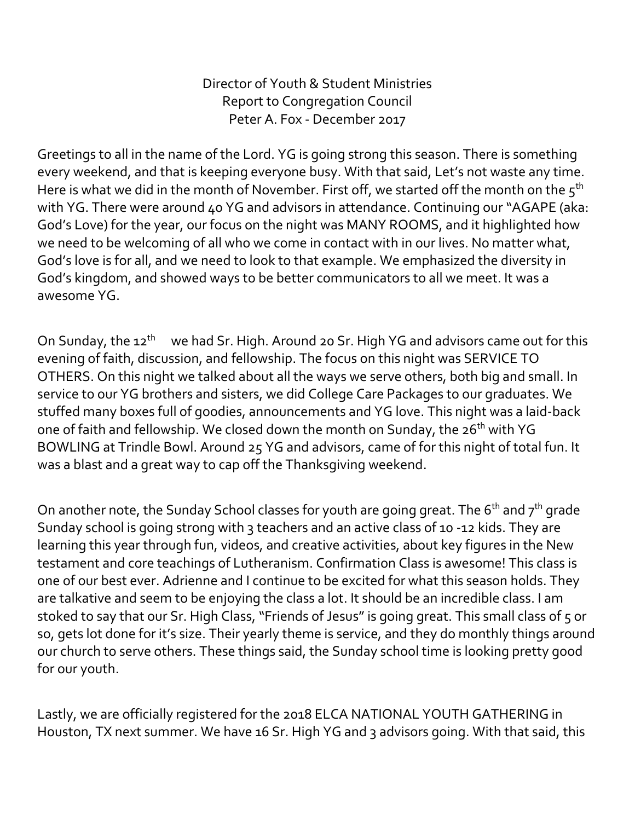Director of Youth & Student Ministries Report to Congregation Council Peter A. Fox - December 2017

Greetings to all in the name of the Lord. YG is going strong this season. There is something every weekend, and that is keeping everyone busy. With that said, Let's not waste any time. Here is what we did in the month of November. First off, we started off the month on the  $5<sup>th</sup>$ with YG. There were around 40 YG and advisors in attendance. Continuing our "AGAPE (aka: God's Love) for the year, our focus on the night was MANY ROOMS, and it highlighted how we need to be welcoming of all who we come in contact with in our lives. No matter what, God's love is for all, and we need to look to that example. We emphasized the diversity in God's kingdom, and showed ways to be better communicators to all we meet. It was a awesome YG.

On Sunday, the 12<sup>th</sup> we had Sr. High. Around 20 Sr. High YG and advisors came out for this evening of faith, discussion, and fellowship. The focus on this night was SERVICE TO OTHERS. On this night we talked about all the ways we serve others, both big and small. In service to our YG brothers and sisters, we did College Care Packages to our graduates. We stuffed many boxes full of goodies, announcements and YG love. This night was a laid-back one of faith and fellowship. We closed down the month on Sunday, the 26<sup>th</sup> with YG BOWLING at Trindle Bowl. Around 25 YG and advisors, came of for this night of total fun. It was a blast and a great way to cap off the Thanksgiving weekend.

On another note, the Sunday School classes for youth are going great. The  $6<sup>th</sup>$  and  $7<sup>th</sup>$  grade Sunday school is going strong with 3 teachers and an active class of 10 -12 kids. They are learning this year through fun, videos, and creative activities, about key figures in the New testament and core teachings of Lutheranism. Confirmation Class is awesome! This class is one of our best ever. Adrienne and I continue to be excited for what this season holds. They are talkative and seem to be enjoying the class a lot. It should be an incredible class. I am stoked to say that our Sr. High Class, "Friends of Jesus" is going great. This small class of 5 or so, gets lot done for it's size. Their yearly theme is service, and they do monthly things around our church to serve others. These things said, the Sunday school time is looking pretty good for our youth.

Lastly, we are officially registered for the 2018 ELCA NATIONAL YOUTH GATHERING in Houston, TX next summer. We have 16 Sr. High YG and 3 advisors going. With that said, this